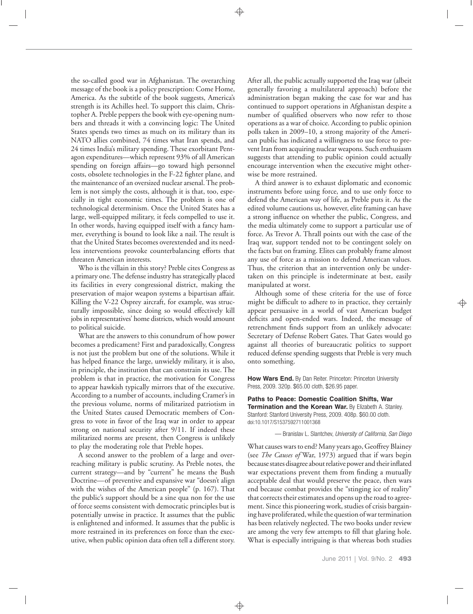the so-called good war in Afghanistan. The overarching message of the book is a policy prescription: Come Home, America. As the subtitle of the book suggests, America's strength is its Achilles heel. To support this claim, Christopher A. Preble peppers the book with eye-opening numbers and threads it with a convincing logic: The United States spends two times as much on its military than its NATO allies combined, 74 times what Iran spends, and 24 times India's military spending. These exorbitant Pentagon expenditures—which represent 93% of all American spending on foreign affairs—go toward high personnel costs, obsolete technologies in the F-22 fighter plane, and the maintenance of an oversized nuclear arsenal. The problem is not simply the costs, although it is that, too, especially in tight economic times. The problem is one of technological determinism. Once the United States has a large, well-equipped military, it feels compelled to use it. In other words, having equipped itself with a fancy hammer, everything is bound to look like a nail. The result is that the United States becomes overextended and its needless interventions provoke counterbalancing efforts that threaten American interests.

Who is the villain in this story? Preble cites Congress as a primary one. The defense industry has strategically placed its facilities in every congressional district, making the preservation of major weapon systems a bipartisan affair. Killing the V-22 Osprey aircraft, for example, was structurally impossible, since doing so would effectively kill jobs in representatives' home districts, which would amount to political suicide.

What are the answers to this conundrum of how power becomes a predicament? First and paradoxically, Congress is not just the problem but one of the solutions. While it has helped finance the large, unwieldy military, it is also, in principle, the institution that can constrain its use. The problem is that in practice, the motivation for Congress to appear hawkish typically mirrors that of the executive. According to a number of accounts, including Cramer's in the previous volume, norms of militarized patriotism in the United States caused Democratic members of Congress to vote in favor of the Iraq war in order to appear strong on national security after 9/11. If indeed these militarized norms are present, then Congress is unlikely to play the moderating role that Preble hopes.

A second answer to the problem of a large and overreaching military is public scrutiny. As Preble notes, the current strategy—and by "current" he means the Bush Doctrine—of preventive and expansive war "doesn't align with the wishes of the American people" (p. 167). That the public's support should be a sine qua non for the use of force seems consistent with democratic principles but is potentially unwise in practice. It assumes that the public is enlightened and informed. It assumes that the public is more restrained in its preferences on force than the executive, when public opinion data often tell a different story.

After all, the public actually supported the Iraq war (albeit generally favoring a multilateral approach) before the administration began making the case for war and has continued to support operations in Afghanistan despite a number of qualified observers who now refer to those operations as a war of choice. According to public opinion polls taken in 2009–10, a strong majority of the American public has indicated a willingness to use force to prevent Iran from acquiring nuclear weapons. Such enthusiasm suggests that attending to public opinion could actually encourage intervention when the executive might otherwise be more restrained.

A third answer is to exhaust diplomatic and economic instruments before using force, and to use only force to defend the American way of life, as Preble puts it. As the edited volume cautions us, however, elite framing can have a strong influence on whether the public, Congress, and the media ultimately come to support a particular use of force. As Trevor A. Thrall points out with the case of the Iraq war, support tended not to be contingent solely on the facts but on framing. Elites can probably frame almost any use of force as a mission to defend American values. Thus, the criterion that an intervention only be undertaken on this principle is indeterminate at best, easily manipulated at worst.

Although some of these criteria for the use of force might be difficult to adhere to in practice, they certainly appear persuasive in a world of vast American budget deficits and open-ended wars. Indeed, the message of retrenchment finds support from an unlikely advocate: Secretary of Defense Robert Gates. That Gates would go against all theories of bureaucratic politics to support reduced defense spending suggests that Preble is very much onto something.

How Wars End. By Dan Reiter. Princeton: Princeton University Press, 2009. 320p. \$65.00 cloth, \$26.95 paper.

**Paths to Peace: Domestic Coalition Shifts, War Termination and the Korean War.** By Elizabeth A. Stanley. Stanford: Stanford University Press, 2009. 408p. \$60.00 cloth. doi:10.1017/S1537592711001368

— Branislav L. Slantchev, *University of California, San Diego*

What causes wars to end? Many years ago, Geoffrey Blainey (see *The Causes of* War, 1973) argued that if wars begin because states disagree about relative power and their inflated war expectations prevent them from finding a mutually acceptable deal that would preserve the peace, then wars end because combat provides the "stinging ice of reality" that corrects their estimates and opens up the road to agreement. Since this pioneering work, studies of crisis bargaining have proliferated, while the question of war termination has been relatively neglected. The two books under review are among the very few attempts to fill that glaring hole. What is especially intriguing is that whereas both studies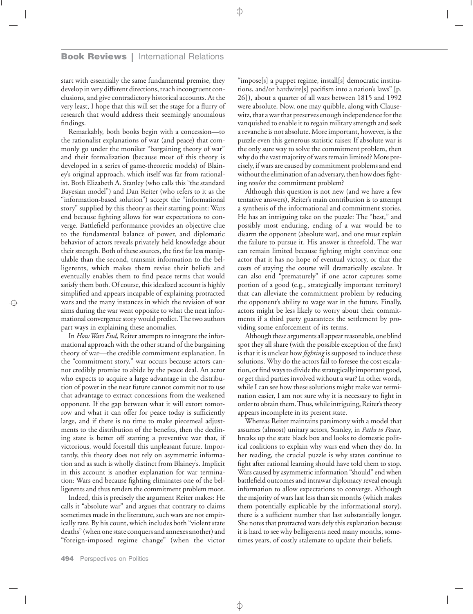start with essentially the same fundamental premise, they develop in very different directions, reach incongruent conclusions, and give contradictory historical accounts. At the very least, I hope that this will set the stage for a flurry of research that would address their seemingly anomalous findings.

Remarkably, both books begin with a concession—to the rationalist explanations of war (and peace) that commonly go under the moniker "bargaining theory of war" and their formalization (because most of this theory is developed in a series of game-theoretic models) of Blainey's original approach, which itself was far from rationalist. Both Elizabeth A. Stanley (who calls this "the standard Bayesian model") and Dan Reiter (who refers to it as the "information-based solution") accept the "informational story" supplied by this theory as their starting point: Wars end because fighting allows for war expectations to converge. Battlefield performance provides an objective clue to the fundamental balance of power, and diplomatic behavior of actors reveals privately held knowledge about their strength. Both of these sources, the first far less manipulable than the second, transmit information to the belligerents, which makes them revise their beliefs and eventually enables them to find peace terms that would satisfy them both. Of course, this idealized account is highly simplified and appears incapable of explaining protracted wars and the many instances in which the revision of war aims during the war went opposite to what the neat informational convergence story would predict. The two authors part ways in explaining these anomalies.

In *How Wars End,* Reiter attempts to integrate the informational approach with the other strand of the bargaining theory of war—the credible commitment explanation. In the "commitment story," war occurs because actors cannot credibly promise to abide by the peace deal. An actor who expects to acquire a large advantage in the distribution of power in the near future cannot commit not to use that advantage to extract concessions from the weakened opponent. If the gap between what it will extort tomorrow and what it can offer for peace today is sufficiently large, and if there is no time to make piecemeal adjustments to the distribution of the benefits, then the declining state is better off starting a preventive war that, if victorious, would forestall this unpleasant future. Importantly, this theory does not rely on asymmetric information and as such is wholly distinct from Blainey's. Implicit in this account is another explanation for war termination: Wars end because fighting eliminates one of the belligerents and thus renders the commitment problem moot.

Indeed, this is precisely the argument Reiter makes: He calls it "absolute war" and argues that contrary to claims sometimes made in the literature, such wars are not empirically rare. By his count, which includes both "violent state deaths" (when one state conquers and annexes another) and "foreign-imposed regime change" (when the victor

"impose[s] a puppet regime, install[s] democratic institutions, and/or hardwire[s] pacifism into a nation's laws" [p. 26]), about a quarter of all wars between 1815 and 1992 were absolute. Now, one may quibble, along with Clausewitz, that a war that preserves enough independence for the vanquished to enable it to regain military strength and seek a revanche is not absolute. More important, however, is the puzzle even this generous statistic raises: If absolute war is the only sure way to solve the commitment problem, then why do the vast majority of wars remain limited? More precisely, if wars are caused by commitment problems and end without the elimination of an adversary, then how does fighting *resolve* the commitment problem?

Although this question is not new (and we have a few tentative answers), Reiter's main contribution is to attempt a synthesis of the informational and commitment stories. He has an intriguing take on the puzzle: The "best," and possibly most enduring, ending of a war would be to disarm the opponent (absolute war), and one must explain the failure to pursue it. His answer is threefold. The war can remain limited because fighting might convince one actor that it has no hope of eventual victory, or that the costs of staying the course will dramatically escalate. It can also end "prematurely" if one actor captures some portion of a good (e.g., strategically important territory) that can alleviate the commitment problem by reducing the opponent's ability to wage war in the future. Finally, actors might be less likely to worry about their commitments if a third party guarantees the settlement by providing some enforcement of its terms.

Although these arguments all appear reasonable, one blind spot they all share (with the possible exception of the first) is that it is unclear how *fighting*is supposed to induce these solutions. Why do the actors fail to foresee the cost escalation, or find ways to divide the strategically important good, or get third parties involved without a war? In other words, while I can see how these solutions might make war termination easier, I am not sure why it is necessary to fight in order to obtain them.Thus, while intriguing, Reiter's theory appears incomplete in its present state.

Whereas Reiter maintains parsimony with a model that assumes (almost) unitary actors, Stanley, in *Paths to Peace,* breaks up the state black box and looks to domestic political coalitions to explain why wars end when they do. In her reading, the crucial puzzle is why states continue to fight after rational learning should have told them to stop. Wars caused by asymmetric information "should" end when battlefield outcomes and intrawar diplomacy reveal enough information to allow expectations to converge. Although the majority of wars last less than six months (which makes them potentially explicable by the informational story), there is a sufficient number that last substantially longer. She notes that protracted wars defy this explanation because it is hard to see why belligerents need many months, sometimes years, of costly stalemate to update their beliefs.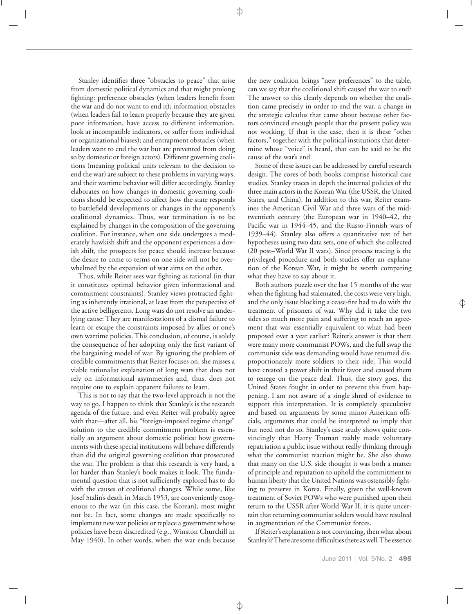Stanley identifies three "obstacles to peace" that arise from domestic political dynamics and that might prolong fighting: preference obstacles (when leaders benefit from the war and do not want to end it); information obstacles (when leaders fail to learn properly because they are given poor information, have access to different information, look at incompatible indicators, or suffer from individual or organizational biases); and entrapment obstacles (when leaders want to end the war but are prevented from doing so by domestic or foreign actors). Different governing coalitions (meaning political units relevant to the decision to end the war) are subject to these problems in varying ways, and their wartime behavior will differ accordingly. Stanley elaborates on how changes in domestic governing coalitions should be expected to affect how the state responds to battlefield developments or changes in the opponent's coalitional dynamics. Thus, war termination is to be explained by changes in the composition of the governing coalition. For instance, when one side undergoes a moderately hawkish shift and the opponent experiences a dovish shift, the prospects for peace should increase because the desire to come to terms on one side will not be overwhelmed by the expansion of war aims on the other.

Thus, while Reiter sees war fighting as rational (in that it constitutes optimal behavior given informational and commitment constraints), Stanley views protracted fighting as inherently irrational, at least from the perspective of the active belligerents. Long wars do not resolve an underlying cause: They are manifestations of a dismal failure to learn or escape the constraints imposed by allies or one's own wartime policies. This conclusion, of course, is solely the consequence of her adopting only the first variant of the bargaining model of war. By ignoring the problem of credible commitments that Reiter focuses on, she misses a viable rationalist explanation of long wars that does not rely on informational asymmetries and, thus, does not require one to explain apparent failures to learn.

This is not to say that the two-level approach is not the way to go. I happen to think that Stanley's is the research agenda of the future, and even Reiter will probably agree with that—after all, his "foreign-imposed regime change" solution to the credible commitment problem is essentially an argument about domestic politics: how governments with these special institutions will behave differently than did the original governing coalition that prosecuted the war. The problem is that this research is very hard, a lot harder than Stanley's book makes it look. The fundamental question that is not sufficiently explored has to do with the causes of coalitional changes. While some, like Josef Stalin's death in March 1953, are conveniently exogenous to the war (in this case, the Korean), most might not be. In fact, some changes are made specifically to implement new war policies or replace a government whose policies have been discredited (e.g., Winston Churchill in May 1940). In other words, when the war ends because

the new coalition brings "new preferences" to the table, can we say that the coalitional shift caused the war to end? The answer to this clearly depends on whether the coalition came precisely in order to end the war, a change in the strategic calculus that came about because other factors convinced enough people that the present policy was not working. If that is the case, then it is these "other factors," together with the political institutions that determine whose "voice" is heard, that can be said to be the cause of the war's end.

Some of these issues can be addressed by careful research design. The cores of both books comprise historical case studies. Stanley traces in depth the internal policies of the three main actors in the Korean War (the USSR, the United States, and China). In addition to this war, Reiter examines the American Civil War and three wars of the midtwentieth century (the European war in 1940–42, the Pacific war in 1944–45, and the Russo-Finnish wars of 1939–44). Stanley also offers a quantitative test of her hypotheses using two data sets, one of which she collected (20 post–World War II wars). Since process tracing is the privileged procedure and both studies offer an explanation of the Korean War, it might be worth comparing what they have to say about it.

Both authors puzzle over the last 15 months of the war when the fighting had stalemated, the costs were very high, and the only issue blocking a cease-fire had to do with the treatment of prisoners of war. Why did it take the two sides so much more pain and suffering to reach an agreement that was essentially equivalent to what had been proposed over a year earlier? Reiter's answer is that there were many more communist POWs, and the full swap the communist side was demanding would have returned disproportionately more soldiers to their side. This would have created a power shift in their favor and caused them to renege on the peace deal. Thus, the story goes, the United States fought in order to prevent this from happening. I am not aware of a single shred of evidence to support this interpretation. It is completely speculative and based on arguments by some minor American officials, arguments that could be interpreted to imply that but need not do so. Stanley's case study shows quite convincingly that Harry Truman rashly made voluntary repatriation a public issue without really thinking through what the communist reaction might be. She also shows that many on the U.S. side thought it was both a matter of principle and reputation to uphold the commitment to human liberty that the United Nations was ostensibly fighting to preserve in Korea. Finally, given the well-known treatment of Soviet POWs who were punished upon their return to the USSR after World War II, it is quite uncertain that returning communist solders would have resulted in augmentation of the Communist forces.

If Reiter's explanation is not convincing, then what about Stanley's? There are some difficulties there as well. The essence